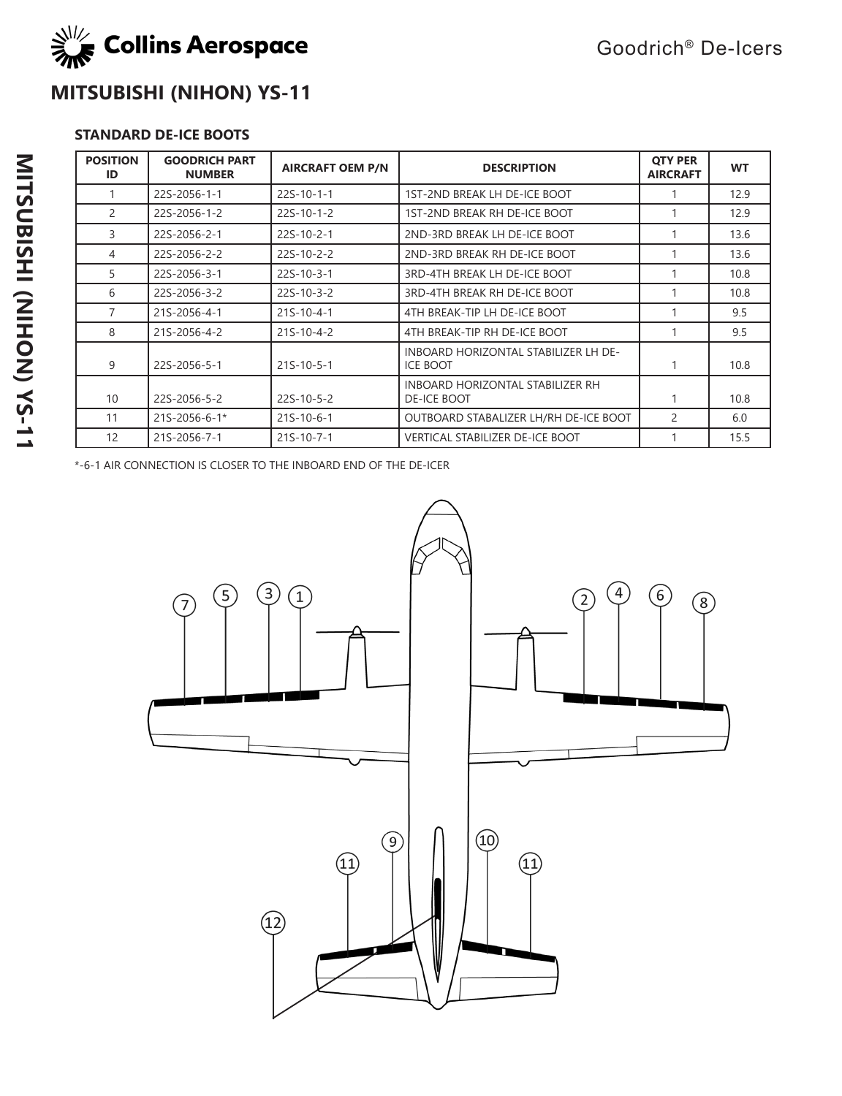

## **MITSUBISHI (NIHON) YS-11**

## **STANDARD DE-ICE BOOTS**

| <b>POSITION</b><br>ID | <b>GOODRICH PART</b><br><b>NUMBER</b> | <b>AIRCRAFT OEM P/N</b> | <b>DESCRIPTION</b>                                      | <b>OTY PER</b><br><b>AIRCRAFT</b> | <b>WT</b> |
|-----------------------|---------------------------------------|-------------------------|---------------------------------------------------------|-----------------------------------|-----------|
|                       | 22S-2056-1-1                          | $22S-10-1-1$            | 1ST-2ND BREAK LH DE-ICE BOOT                            |                                   | 12.9      |
| $\overline{2}$        | 22S-2056-1-2                          | $22S-10-1-2$            | 1ST-2ND BREAK RH DE-ICE BOOT                            |                                   | 12.9      |
| 3                     | 22S-2056-2-1                          | $22S-10-2-1$            | 2ND-3RD BREAK LH DE-ICE BOOT                            |                                   | 13.6      |
| 4                     | 22S-2056-2-2                          | 22S-10-2-2              | 2ND-3RD BREAK RH DE-ICE BOOT                            |                                   | 13.6      |
| 5                     | 22S-2056-3-1                          | $22S-10-3-1$            | 3RD-4TH BREAK LH DE-ICE BOOT                            |                                   | 10.8      |
| 6                     | 22S-2056-3-2                          | $22S-10-3-2$            | 3RD-4TH BREAK RH DE-ICE BOOT                            |                                   | 10.8      |
| 7                     | 21S-2056-4-1                          | $21S-10-4-1$            | 4TH BREAK-TIP LH DE-ICE BOOT                            |                                   | 9.5       |
| 8                     | 21S-2056-4-2                          | $21S-10-4-2$            | 4TH BREAK-TIP RH DE-ICE BOOT                            |                                   | 9.5       |
| 9                     | 22S-2056-5-1                          | $21S-10-5-1$            | INBOARD HORIZONTAL STABILIZER LH DE-<br><b>ICE BOOT</b> |                                   | 10.8      |
| 10                    | 22S-2056-5-2                          | $22S-10-5-2$            | INBOARD HORIZONTAL STABILIZER RH<br>DE-ICE BOOT         |                                   | 10.8      |
| 11                    | 21S-2056-6-1*                         | $21S-10-6-1$            | OUTBOARD STABALIZER LH/RH DE-ICE BOOT                   | 2                                 | 6.0       |
| 12                    | 21S-2056-7-1                          | $21S-10-7-1$            | <b>VERTICAL STABILIZER DE-ICE BOOT</b>                  |                                   | 15.5      |

\*-6-1 AIR CONNECTION IS CLOSER TO THE INBOARD END OF THE DE-ICER